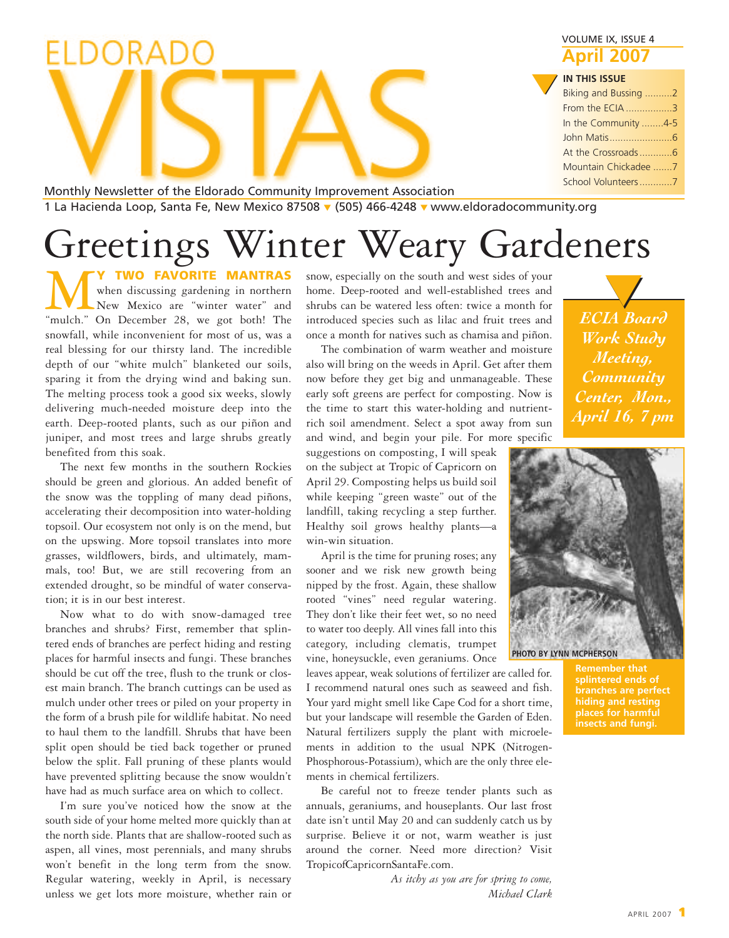| <b>ECIA Board</b> |  |
|-------------------|--|
| <b>Work Study</b> |  |
| Meeting,          |  |

*Community Center, Mon., April 16, 7 pm*

VOLUME IX, ISSUE 4 **April 2007**

#### **IN THIS ISSUE**

|  | <b>IN THIS ISSUE</b> |  |
|--|----------------------|--|
|  | Biking and Bussing 2 |  |
|  | From the ECIA 3      |  |
|  | In the Community 4-5 |  |
|  |                      |  |
|  |                      |  |
|  | Mountain Chickadee 7 |  |
|  | School Volunteers7   |  |
|  |                      |  |

Monthly Newsletter of the Eldorado Community Improvement Association 1 La Hacienda Loop, Santa Fe, New Mexico 87508 **▼** (505) 466-4248 **▼** www.eldoradocommunity.org

# Greetings Winter Weary Gardeners

**MULLE MANTRAS**<br>
When discussing gardening in northern<br>
"mulch." On December 28, we got both! The when discussing gardening in northern New Mexico are "winter water" and snowfall, while inconvenient for most of us, was a real blessing for our thirsty land. The incredible depth of our "white mulch" blanketed our soils, sparing it from the drying wind and baking sun. The melting process took a good six weeks, slowly delivering much-needed moisture deep into the earth. Deep-rooted plants, such as our piñon and juniper, and most trees and large shrubs greatly benefited from this soak.

ORA

The next few months in the southern Rockies should be green and glorious. An added benefit of the snow was the toppling of many dead piñons, accelerating their decomposition into water-holding topsoil. Our ecosystem not only is on the mend, but on the upswing. More topsoil translates into more grasses, wildflowers, birds, and ultimately, mammals, too! But, we are still recovering from an extended drought, so be mindful of water conservation; it is in our best interest.

Now what to do with snow-damaged tree branches and shrubs? First, remember that splintered ends of branches are perfect hiding and resting places for harmful insects and fungi. These branches should be cut off the tree, flush to the trunk or closest main branch. The branch cuttings can be used as mulch under other trees or piled on your property in the form of a brush pile for wildlife habitat. No need to haul them to the landfill. Shrubs that have been split open should be tied back together or pruned below the split. Fall pruning of these plants would have prevented splitting because the snow wouldn't have had as much surface area on which to collect.

I'm sure you've noticed how the snow at the south side of your home melted more quickly than at the north side. Plants that are shallow-rooted such as aspen, all vines, most perennials, and many shrubs won't benefit in the long term from the snow. Regular watering, weekly in April, is necessary unless we get lots more moisture, whether rain or

snow, especially on the south and west sides of your home. Deep-rooted and well-established trees and shrubs can be watered less often: twice a month for introduced species such as lilac and fruit trees and once a month for natives such as chamisa and piñon.

The combination of warm weather and moisture also will bring on the weeds in April. Get after them now before they get big and unmanageable. These early soft greens are perfect for composting. Now is the time to start this water-holding and nutrientrich soil amendment. Select a spot away from sun and wind, and begin your pile. For more specific

suggestions on composting, I will speak on the subject at Tropic of Capricorn on April 29. Composting helps us build soil while keeping "green waste" out of the landfill, taking recycling a step further. Healthy soil grows healthy plants—a win-win situation.

April is the time for pruning roses; any sooner and we risk new growth being nipped by the frost. Again, these shallow rooted "vines" need regular watering. They don't like their feet wet, so no need to water too deeply. All vines fall into this category, including clematis, trumpet vine, honeysuckle, even geraniums. Once

leaves appear, weak solutions of fertilizer are called for. I recommend natural ones such as seaweed and fish. Your yard might smell like Cape Cod for a short time, but your landscape will resemble the Garden of Eden. Natural fertilizers supply the plant with microelements in addition to the usual NPK (Nitrogen-Phosphorous-Potassium), which are the only three elements in chemical fertilizers.

Be careful not to freeze tender plants such as annuals, geraniums, and houseplants. Our last frost date isn't until May 20 and can suddenly catch us by surprise. Believe it or not, warm weather is just around the corner. Need more direction? Visit TropicofCapricornSantaFe.com.

> *As itchy as you are for spring to come, Michael Clark*



**PHOTO BY LYNN MCPHERSON**

**Remember that branches are perfect hiding and resting places for harmful insects and fungi.**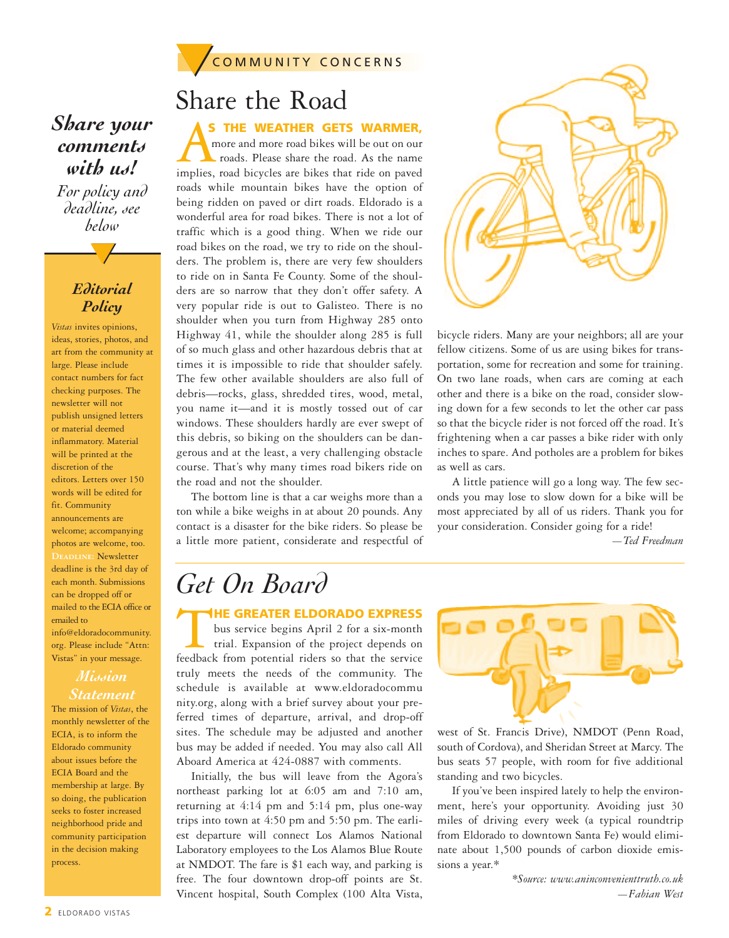

## *Share your comments with us!*

*For policy and deadline, see below*

### *Editorial Policy*

**▼**

*Vistas* invites opinions, ideas, stories, photos, and art from the community at large. Please include contact numbers for fact checking purposes. The newsletter will not publish unsigned letters or material deemed inflammatory. Material will be printed at the discretion of the editors. Letters over 150 words will be edited for fit. Community announcements are welcome; accompanying photos are welcome, too. **Deadline:** Newsletter deadline is the 3rd day of each month. Submissions can be dropped off or mailed to the ECIA office or emailed to info@eldoradocommunity. org. Please include "Attn: Vistas" in your message.

#### *Mission Statement*

The mission of *Vistas*, the monthly newsletter of the ECIA, is to inform the Eldorado community about issues before the ECIA Board and the membership at large. By so doing, the publication seeks to foster increased neighborhood pride and community participation in the decision making process.

Share the Road

**AS THE WEATHER GETS WARMER,**<br>
more and more road bikes will be out on our<br>
roads. Please share the road. As the name<br>
implies, road bicycles are bikes that ride on paved more and more road bikes will be out on our roads. Please share the road. As the name roads while mountain bikes have the option of being ridden on paved or dirt roads. Eldorado is a wonderful area for road bikes. There is not a lot of traffic which is a good thing. When we ride our road bikes on the road, we try to ride on the shoulders. The problem is, there are very few shoulders to ride on in Santa Fe County. Some of the shoulders are so narrow that they don't offer safety. A very popular ride is out to Galisteo. There is no shoulder when you turn from Highway 285 onto Highway 41, while the shoulder along 285 is full of so much glass and other hazardous debris that at times it is impossible to ride that shoulder safely. The few other available shoulders are also full of debris—rocks, glass, shredded tires, wood, metal, you name it—and it is mostly tossed out of car windows. These shoulders hardly are ever swept of this debris, so biking on the shoulders can be dangerous and at the least, a very challenging obstacle course. That's why many times road bikers ride on the road and not the shoulder.

The bottom line is that a car weighs more than a ton while a bike weighs in at about 20 pounds. Any contact is a disaster for the bike riders. So please be a little more patient, considerate and respectful of



bicycle riders. Many are your neighbors; all are your fellow citizens. Some of us are using bikes for transportation, some for recreation and some for training. On two lane roads, when cars are coming at each other and there is a bike on the road, consider slowing down for a few seconds to let the other car pass so that the bicycle rider is not forced off the road. It's frightening when a car passes a bike rider with only inches to spare. And potholes are a problem for bikes as well as cars.

A little patience will go a long way. The few seconds you may lose to slow down for a bike will be most appreciated by all of us riders. Thank you for your consideration. Consider going for a ride!

*—Ted Freedman*

## *Get On Board*

**THE GREATER ELDORADO EXPRESS**<br>
feedback from potential riders so that the service<br>
feedback from potential riders so that the service bus service begins April 2 for a six-month trial. Expansion of the project depends on truly meets the needs of the community. The schedule is available at www.eldoradocommu nity.org, along with a brief survey about your preferred times of departure, arrival, and drop-off sites. The schedule may be adjusted and another bus may be added if needed. You may also call All Aboard America at 424-0887 with comments.

Initially, the bus will leave from the Agora's northeast parking lot at 6:05 am and 7:10 am, returning at 4:14 pm and 5:14 pm, plus one-way trips into town at 4:50 pm and 5:50 pm. The earliest departure will connect Los Alamos National Laboratory employees to the Los Alamos Blue Route at NMDOT. The fare is \$1 each way, and parking is free. The four downtown drop-off points are St. Vincent hospital, South Complex (100 Alta Vista,



west of St. Francis Drive), NMDOT (Penn Road, south of Cordova), and Sheridan Street at Marcy. The bus seats 57 people, with room for five additional standing and two bicycles.

If you've been inspired lately to help the environment, here's your opportunity. Avoiding just 30 miles of driving every week (a typical roundtrip from Eldorado to downtown Santa Fe) would eliminate about 1,500 pounds of carbon dioxide emissions a year.\*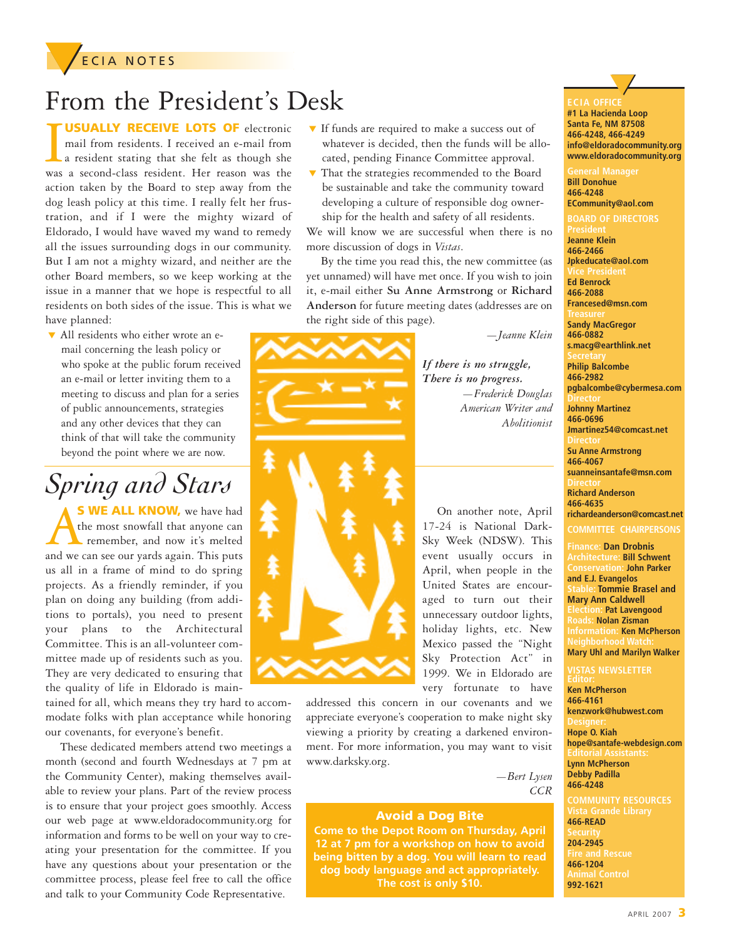### **ECIA NOTES**

## From the President's Desk

**USUALLY RECEIVE LOTS OF** electronic

**USUALLY RECEIVE LOTS OF** electronic<br>mail from residents. I received an e-mail from<br>a resident stating that she felt as though she<br>was a second-class resident. Her reason was the mail from residents. I received an e-mail from a resident stating that she felt as though she action taken by the Board to step away from the dog leash policy at this time. I really felt her frustration, and if I were the mighty wizard of Eldorado, I would have waved my wand to remedy all the issues surrounding dogs in our community. But I am not a mighty wizard, and neither are the other Board members, so we keep working at the issue in a manner that we hope is respectful to all residents on both sides of the issue. This is what we have planned:

**▼** All residents who either wrote an email concerning the leash policy or who spoke at the public forum received an e-mail or letter inviting them to a meeting to discuss and plan for a series of public announcements, strategies and any other devices that they can think of that will take the community beyond the point where we are now.

## *Spring and Stars*

**S WE ALL KNOW,** we have had the most snowfall that anyone can remember, and now it's melted and we can see our yards again. This puts us all in a frame of mind to do spring projects. As a friendly reminder, if you plan on doing any building (from additions to portals), you need to present your plans to the Architectural Committee. This is an all-volunteer committee made up of residents such as you. They are very dedicated to ensuring that the quality of life in Eldorado is main-

tained for all, which means they try hard to accommodate folks with plan acceptance while honoring our covenants, for everyone's benefit.

These dedicated members attend two meetings a month (second and fourth Wednesdays at 7 pm at the Community Center), making themselves available to review your plans. Part of the review process is to ensure that your project goes smoothly. Access our web page at www.eldoradocommunity.org for information and forms to be well on your way to creating your presentation for the committee. If you have any questions about your presentation or the committee process, please feel free to call the office and talk to your Community Code Representative.

- **▼** If funds are required to make a success out of whatever is decided, then the funds will be allocated, pending Finance Committee approval.
- **▼** That the strategies recommended to the Board be sustainable and take the community toward developing a culture of responsible dog ownership for the health and safety of all residents.

We will know we are successful when there is no more discussion of dogs in *Vistas*.

By the time you read this, the new committee (as yet unnamed) will have met once. If you wish to join it, e-mail either **Su Anne Armstrong** or **Richard Anderson** for future meeting dates (addresses are on the right side of this page).

*—Jeanne Klein*

*If there is no struggle, There is no progress. —Frederick Douglas American Writer and Abolitionist*

On another note, April 17-24 is National Dark-Sky Week (NDSW). This event usually occurs in April, when people in the United States are encouraged to turn out their unnecessary outdoor lights, holiday lights, etc. New Mexico passed the "Night Sky Protection Act" in 1999. We in Eldorado are very fortunate to have

addressed this concern in our covenants and we appreciate everyone's cooperation to make night sky viewing a priority by creating a darkened environment. For more information, you may want to visit www.darksky.org.

> *—Bert Lysen CCR*

#### **Avoid a Dog Bite**

**Come to the Depot Room on Thursday, April 12 at 7 pm for a workshop on how to avoid being bitten by a dog. You will learn to read dog body language and act appropriately. The cost is only \$10.**

# **▼**

**#1 La Hacienda Loop Santa Fe, NM 87508 466-4248, 466-4249 info@eldoradocommunity.org www.eldoradocommunity.org**

**Bill Donohue 466-4248 ECommunity@aol.com**

**BOARD OF DIRECTORS Jeanne Klein 466-2466 Jpkeducate@aol.com Ed Benrock**

**466-2088 Francesed@msn.com**

**Sandy MacGregor 466-0882**

**s.macg@earthlink.net Philip Balcombe**

**466-2982 pgbalcombe@cybermesa.com Johnny Martinez 466-0696**

**Jmartinez54@comcast.net Su Anne Armstrong 466-4067 suanneinsantafe@msn.com**

**Richard Anderson 466-4635**

**richardeanderson@comcast.net**

#### **COMMITTEE CHAIRPERSONS**

**Finance: Dan Drobnis Architecture: Bill Schwent Conservation: John Parker and E.J. Evangelos Stable: Tommie Brasel and Mary Ann Caldwell Election: Pat Lavengood Roads: Nolan Zisman Information: Ken McPherson Mary Uhl and Marilyn Walker**

#### **VISTAS NEWSLETTER**

**Ken McPherson 466-4161 kenzwork@hubwest.com Hope O. Kiah hope@santafe-webdesign.com Lynn McPherson Debby Padilla 466-4248 COMMUNITY RESOURCES**

**466-READ 204-2945 466-1204 992-1621**

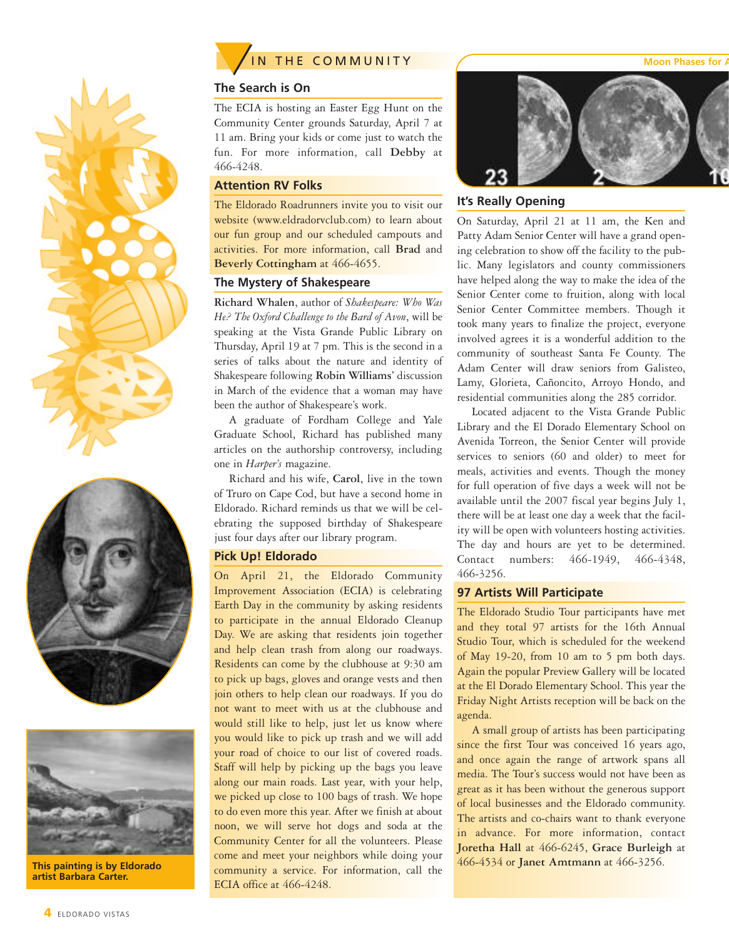





**This painting is by Eldorado artist Barbara Carter.**

**4** ELDORADO VISTAS



#### **The Search is On**

The ECIA is hosting an Easter Egg Hunt on the Community Center grounds Saturday, April 7 at 11 am. Bring your kids or come just to watch the fun. For more information, call **Debby** at 466-4248.

#### **Attention RV Folks**

The Eldorado Roadrunners invite you to visit our website (www.eldradorvclub.com) to learn about our fun group and our scheduled campouts and activities. For more information, call **Brad** and **Beverly Cottingham** at 466-4655.

#### **The Mystery of Shakespeare**

**Richard Whalen**, author of *Shakespeare: Who Was He? The Oxford Challenge to the Bard of Avon*, will be speaking at the Vista Grande Public Library on Thursday, April 19 at 7 pm. This is the second in a series of talks about the nature and identity of Shakespeare following **Robin Williams'** discussion in March of the evidence that a woman may have been the author of Shakespeare's work.

A graduate of Fordham College and Yale Graduate School, Richard has published many articles on the authorship controversy, including one in *Harper's* magazine.

Richard and his wife, **Carol**, live in the town of Truro on Cape Cod, but have a second home in Eldorado. Richard reminds us that we will be celebrating the supposed birthday of Shakespeare just four days after our library program.

#### **Pick Up! Eldorado**

On April 21, the Eldorado Community Improvement Association (ECIA) is celebrating Earth Day in the community by asking residents to participate in the annual Eldorado Cleanup Day. We are asking that residents join together and help clean trash from along our roadways. Residents can come by the clubhouse at 9:30 am to pick up bags, gloves and orange vests and then join others to help clean our roadways. If you do not want to meet with us at the clubhouse and would still like to help, just let us know where you would like to pick up trash and we will add your road of choice to our list of covered roads. Staff will help by picking up the bags you leave along our main roads. Last year, with your help, we picked up close to 100 bags of trash. We hope to do even more this year. After we finish at about noon, we will serve hot dogs and soda at the Community Center for all the volunteers. Please come and meet your neighbors while doing your community a service. For information, call the ECIA office at 466-4248.



#### **It's Really Opening**

On Saturday, April 21 at 11 am, the Ken and Patty Adam Senior Center will have a grand opening celebration to show off the facility to the public. Many legislators and county commissioners have helped along the way to make the idea of the Senior Center come to fruition, along with local Senior Center Committee members. Though it took many years to finalize the project, everyone involved agrees it is a wonderful addition to the community of southeast Santa Fe County. The Adam Center will draw seniors from Galisteo, Lamy, Glorieta, Cañoncito, Arroyo Hondo, and residential communities along the 285 corridor.

Located adjacent to the Vista Grande Public Library and the El Dorado Elementary School on Avenida Torreon, the Senior Center will provide services to seniors (60 and older) to meet for meals, activities and events. Though the money for full operation of five days a week will not be available until the 2007 fiscal year begins July 1, there will be at least one day a week that the facility will be open with volunteers hosting activities. The day and hours are yet to be determined. Contact numbers: 466-1949, 466-4348, 466-3256.

#### **97 Artists Will Participate**

The Eldorado Studio Tour participants have met and they total 97 artists for the 16th Annual Studio Tour, which is scheduled for the weekend of May 19-20, from 10 am to 5 pm both days. Again the popular Preview Gallery will be located at the El Dorado Elementary School. This year the Friday Night Artists reception will be back on the agenda.

A small group of artists has been participating since the first Tour was conceived 16 years ago, and once again the range of artwork spans all media. The Tour's success would not have been as great as it has been without the generous support of local businesses and the Eldorado community. The artists and co-chairs want to thank everyone in advance. For more information, contact **Joretha Hall** at 466-6245, **Grace Burleigh** at 466-4534 or **Janet Amtmann** at 466-3256.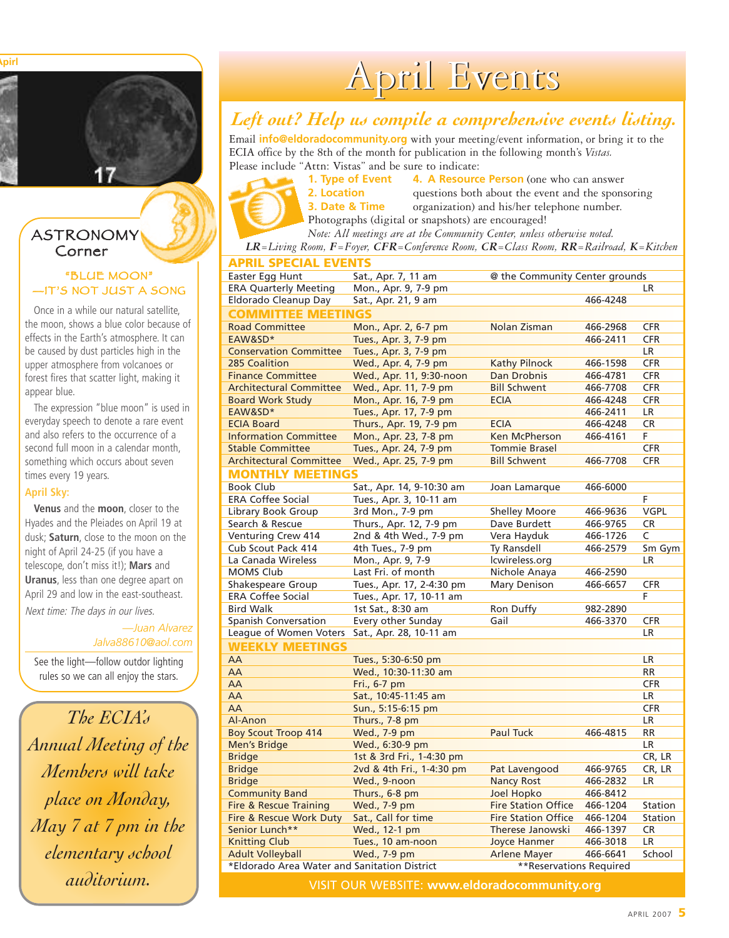**Moon Phases for Apirl**



#### **ASTRONOMY** Corner

#### "BLUE MOON" —IT'S NOT JUST A SONG

Once in a while our natural satellite, the moon, shows a blue color because of effects in the Earth's atmosphere. It can be caused by dust particles high in the upper atmosphere from volcanoes or forest fires that scatter light, making it appear blue.

The expression "blue moon" is used in everyday speech to denote a rare event and also refers to the occurrence of a second full moon in a calendar month, something which occurs about seven times every 19 years.

#### **April Sky:**

**Venus** and the **moon**, closer to the Hyades and the Pleiades on April 19 at dusk; **Saturn**, close to the moon on the night of April 24-25 (if you have a telescope, don't miss it!); **Mars** and **Uranus**, less than one degree apart on April 29 and low in the east-southeast.

Next time: The days in our lives.

*—Juan Alvarez Jalva88610@aol.com*

See the light—follow outdor lighting rules so we can all enjoy the stars.

*The ECIA's Annual Meeting of the Members will take place on Monday, May 7 at 7 pm in the elementary school auditorium.*

# April Events

### *Left out? Help us compile a comprehensive events listing.*

Email **info@eldoradocommunity.org** with your meeting/event information, or bring it to the ECIA office by the 8th of the month for publication in the following month's *Vistas.* Please include "Attn: Vistas" and be sure to indicate:

**1. Type of Event 4. A Resource Person** (one who can answer **2. Location** questions both about the event and the sponsoring **3. Date & Time** organization) and his/her telephone number. Photographs (digital or snapshots) are encouraged!

*Note: All meetings are at the Community Center, unless otherwise noted.*

*LR=Living Room, F=Foyer, CFR=Conference Room, CR=Class Room, RR=Railroad, K=Kitchen*

| Easter Egg Hunt<br>Sat., Apr. 7, 11 am<br>@ the Community Center grounds<br><b>ERA Quarterly Meeting</b><br>Mon., Apr. 9, 7-9 pm<br>LR.<br>Eldorado Cleanup Day<br>Sat., Apr. 21, 9 am<br>466-4248 |        |
|----------------------------------------------------------------------------------------------------------------------------------------------------------------------------------------------------|--------|
|                                                                                                                                                                                                    |        |
|                                                                                                                                                                                                    |        |
|                                                                                                                                                                                                    |        |
| <b>COMMITTEE MEETINGS</b>                                                                                                                                                                          |        |
| Mon., Apr. 2, 6-7 pm<br><b>Road Committee</b><br>Nolan Zisman<br>466-2968<br><b>CFR</b>                                                                                                            |        |
| EAW&SD*<br>Tues., Apr. 3, 7-9 pm<br>466-2411<br><b>CFR</b>                                                                                                                                         |        |
| Tues., Apr. 3, 7-9 pm<br><b>Conservation Committee</b><br>LR.                                                                                                                                      |        |
| <b>Kathy Pilnock</b><br>285 Coalition<br>Wed., Apr. 4, 7-9 pm<br>466-1598<br><b>CFR</b>                                                                                                            |        |
| Dan Drobnis<br><b>CFR</b><br><b>Finance Committee</b><br>Wed., Apr. 11, 9:30-noon<br>466-4781                                                                                                      |        |
| <b>Bill Schwent</b><br><b>Architectural Committee</b><br>Wed., Apr. 11, 7-9 pm<br>466-7708<br><b>CFR</b>                                                                                           |        |
| <b>Board Work Study</b><br>Mon., Apr. 16, 7-9 pm<br><b>CFR</b><br><b>ECIA</b><br>466-4248                                                                                                          |        |
| EAW&SD*<br>Tues., Apr. 17, 7-9 pm<br>466-2411<br>LR.                                                                                                                                               |        |
| <b>ECIA Board</b><br>Thurs., Apr. 19, 7-9 pm<br><b>ECIA</b><br>466-4248<br><b>CR</b>                                                                                                               |        |
| Ken McPherson<br><b>Information Committee</b><br>Mon., Apr. 23, 7-8 pm<br>466-4161<br>F                                                                                                            |        |
| Tues., Apr. 24, 7-9 pm<br><b>Tommie Brasel</b><br><b>Stable Committee</b><br><b>CFR</b>                                                                                                            |        |
| Wed., Apr. 25, 7-9 pm<br><b>Bill Schwent</b><br>466-7708<br><b>CFR</b><br><b>Architectural Committee</b>                                                                                           |        |
| <b>MONTHLY MEETINGS</b>                                                                                                                                                                            |        |
| Sat., Apr. 14, 9-10:30 am<br><b>Book Club</b><br>Joan Lamarque<br>466-6000                                                                                                                         |        |
| <b>ERA Coffee Social</b><br>Tues., Apr. 3, 10-11 am<br>F                                                                                                                                           |        |
| <b>VGPL</b><br>3rd Mon., 7-9 pm<br><b>Shelley Moore</b><br>Library Book Group<br>466-9636                                                                                                          |        |
| Search & Rescue<br>Thurs., Apr. 12, 7-9 pm<br>Dave Burdett<br><b>CR</b><br>466-9765                                                                                                                |        |
| Venturing Crew 414<br>2nd & 4th Wed., 7-9 pm<br>Vera Hayduk<br>C<br>466-1726                                                                                                                       |        |
| Cub Scout Pack 414<br>4th Tues., 7-9 pm<br>Ty Ransdell<br>466-2579                                                                                                                                 | Sm Gym |
| La Canada Wireless<br>Mon., Apr. 9, 7-9<br>lcwireless.org<br>LR                                                                                                                                    |        |
| Last Fri. of month<br>Nichole Anaya<br><b>MOMS Club</b><br>466-2590                                                                                                                                |        |
| Shakespeare Group<br>Tues., Apr. 17, 2-4:30 pm<br>Mary Denison<br>466-6657<br><b>CFR</b>                                                                                                           |        |
| <b>ERA Coffee Social</b><br>Tues., Apr. 17, 10-11 am<br>F                                                                                                                                          |        |
| <b>Bird Walk</b><br>1st Sat., 8:30 am<br>Ron Duffy<br>982-2890                                                                                                                                     |        |
| <b>Spanish Conversation</b><br>Every other Sunday<br>Gail<br>466-3370<br><b>CFR</b>                                                                                                                |        |
| League of Women Voters<br>Sat., Apr. 28, 10-11 am<br><b>LR</b>                                                                                                                                     |        |
| <b>WEEKLY MEETINGS</b>                                                                                                                                                                             |        |
| AA<br>Tues., 5:30-6:50 pm<br><b>LR</b>                                                                                                                                                             |        |
| AA<br>Wed., 10:30-11:30 am<br><b>RR</b>                                                                                                                                                            |        |
| AA<br>Fri., 6-7 pm<br><b>CFR</b>                                                                                                                                                                   |        |
| AA<br>Sat., 10:45-11:45 am<br><b>LR</b>                                                                                                                                                            |        |
| AA<br>Sun., 5:15-6:15 pm<br><b>CFR</b>                                                                                                                                                             |        |
| Al-Anon<br><b>LR</b><br>Thurs., 7-8 pm                                                                                                                                                             |        |
| <b>Boy Scout Troop 414</b><br>Wed., 7-9 pm<br><b>Paul Tuck</b><br><b>RR</b><br>466-4815                                                                                                            |        |
| <b>Men's Bridge</b><br>Wed., 6:30-9 pm<br><b>LR</b>                                                                                                                                                |        |
| <b>Bridge</b><br>1st & 3rd Fri., 1-4:30 pm<br>CR, LR                                                                                                                                               |        |
| <b>Bridge</b><br>2vd & 4th Fri., 1-4:30 pm<br>CR, LR<br>Pat Lavengood<br>466-9765                                                                                                                  |        |
| <b>Bridge</b><br>Wed., 9-noon<br><b>Nancy Rost</b><br>LR<br>466-2832                                                                                                                               |        |
| Joel Hopko<br><b>Community Band</b><br>Thurs., 6-8 pm<br>466-8412                                                                                                                                  |        |
| <b>Fire Station Office</b><br>Wed., 7-9 pm<br><b>Fire &amp; Rescue Training</b><br>466-1204<br>Station                                                                                             |        |
| Fire & Rescue Work Duty<br>Sat., Call for time<br><b>Fire Station Office</b><br>466-1204<br>Station                                                                                                |        |
| Senior Lunch**<br>Wed., 12-1 pm<br>Therese Janowski<br><b>CR</b><br>466-1397                                                                                                                       |        |
| Tues., 10 am-noon<br><b>Joyce Hanmer</b><br>LR<br><b>Knitting Club</b><br>466-3018                                                                                                                 |        |
| <b>Adult Volleyball</b><br>Wed., 7-9 pm<br>466-6641<br>School<br><b>Arlene Mayer</b>                                                                                                               |        |
| *Eldorado Area Water and Sanitation District<br>**Reservations Required                                                                                                                            |        |

VISIT OUR WEBSITE: **www.eldoradocommunity.org**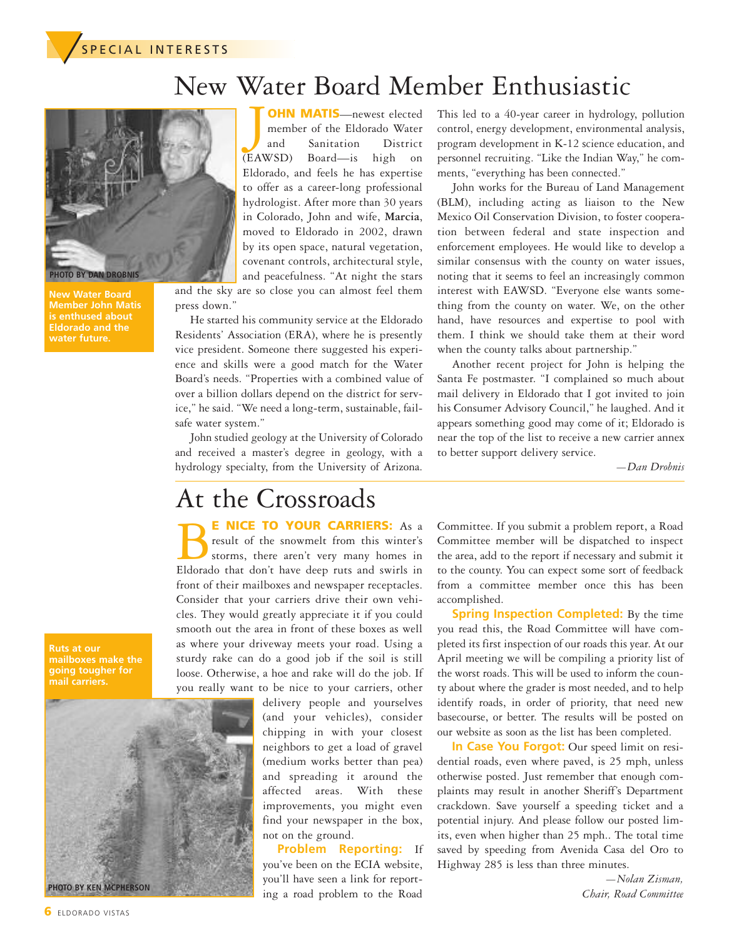

## New Water Board Member Enthusiastic



**New Water Board Member John Matis is enthused about Eldorado and the**

J **OHN MATIS**—newest elected member of the Eldorado Water and Sanitation District (EAWSD) Board—is high on Eldorado, and feels he has expertise to offer as a career-long professional hydrologist. After more than 30 years in Colorado, John and wife, **Marcia**, moved to Eldorado in 2002, drawn by its open space, natural vegetation, covenant controls, architectural style, and peacefulness. "At night the stars

and the sky are so close you can almost feel them press down."

He started his community service at the Eldorado Residents' Association (ERA), where he is presently vice president. Someone there suggested his experience and skills were a good match for the Water Board's needs. "Properties with a combined value of over a billion dollars depend on the district for service," he said. "We need a long-term, sustainable, failsafe water system."

John studied geology at the University of Colorado and received a master's degree in geology, with a hydrology specialty, from the University of Arizona.

This led to a 40-year career in hydrology, pollution control, energy development, environmental analysis, program development in K-12 science education, and personnel recruiting. "Like the Indian Way," he comments, "everything has been connected."

John works for the Bureau of Land Management (BLM), including acting as liaison to the New Mexico Oil Conservation Division, to foster cooperation between federal and state inspection and enforcement employees. He would like to develop a similar consensus with the county on water issues, noting that it seems to feel an increasingly common interest with EAWSD. "Everyone else wants something from the county on water. We, on the other hand, have resources and expertise to pool with them. I think we should take them at their word when the county talks about partnership."

Another recent project for John is helping the Santa Fe postmaster. "I complained so much about mail delivery in Eldorado that I got invited to join his Consumer Advisory Council," he laughed. And it appears something good may come of it; Eldorado is near the top of the list to receive a new carrier annex to better support delivery service.

*—Dan Drobnis*

## At the Crossroads

B**<sup>E</sup> NICE TO YOUR CARRIERS:** As <sup>a</sup> result of the snowmelt from this winter's storms, there aren't very many homes in Eldorado that don't have deep ruts and swirls in front of their mailboxes and newspaper receptacles. Consider that your carriers drive their own vehicles. They would greatly appreciate it if you could smooth out the area in front of these boxes as well as where your driveway meets your road. Using a sturdy rake can do a good job if the soil is still loose. Otherwise, a hoe and rake will do the job. If you really want to be nice to your carriers, other

delivery people and yourselves (and your vehicles), consider chipping in with your closest neighbors to get a load of gravel (medium works better than pea) and spreading it around the affected areas. With these improvements, you might even find your newspaper in the box, not on the ground.

**Problem Reporting:** If you've been on the ECIA website, you'll have seen a link for reporting a road problem to the Road Committee. If you submit a problem report, a Road Committee member will be dispatched to inspect the area, add to the report if necessary and submit it to the county. You can expect some sort of feedback from a committee member once this has been accomplished.

**Spring Inspection Completed:** By the time you read this, the Road Committee will have completed its first inspection of our roads this year. At our April meeting we will be compiling a priority list of the worst roads. This will be used to inform the county about where the grader is most needed, and to help identify roads, in order of priority, that need new basecourse, or better. The results will be posted on our website as soon as the list has been completed.

**In Case You Forgot:** Our speed limit on residential roads, even where paved, is 25 mph, unless otherwise posted. Just remember that enough complaints may result in another Sheriff's Department crackdown. Save yourself a speeding ticket and a potential injury. And please follow our posted limits, even when higher than 25 mph.. The total time saved by speeding from Avenida Casa del Oro to Highway 285 is less than three minutes.

> *—Nolan Zisman, Chair, Road Committee*

**Ruts at our mailboxes make the going tougher for mail carriers.**

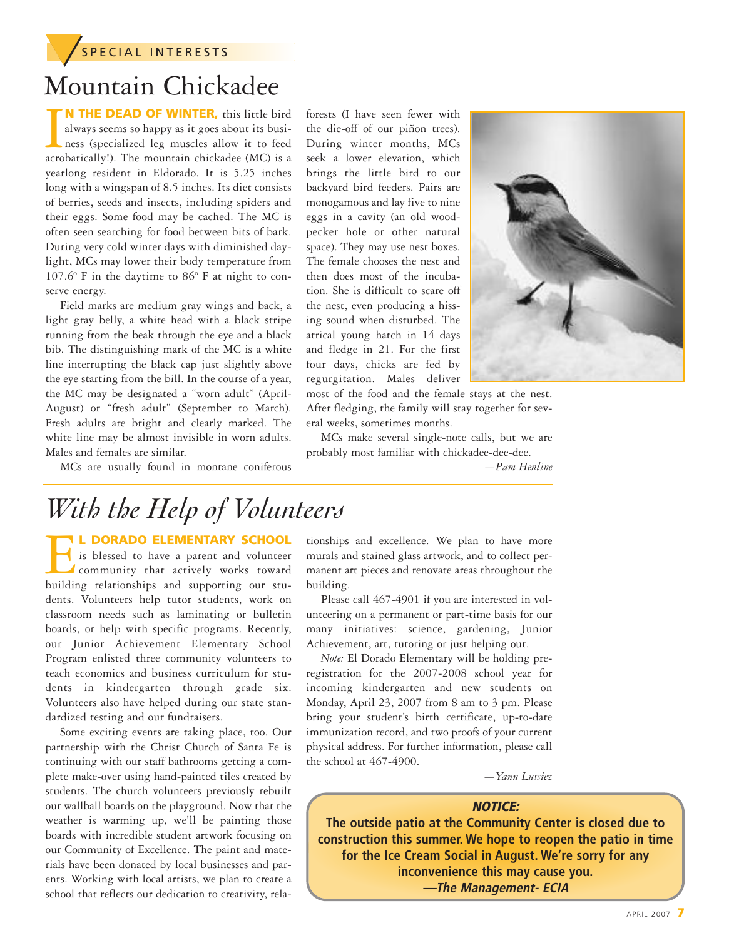**SPECIAL INTERESTS** 

## Mountain Chickadee

**IN THE DEAD OF WINTER,** this little bird always seems so happy as it goes about its business (specialized leg muscles allow it to feed acrobatically!). The mountain chickadee (MC) is a **N THE DEAD OF WINTER,** this little bird always seems so happy as it goes about its business (specialized leg muscles allow it to feed yearlong resident in Eldorado. It is 5.25 inches long with a wingspan of 8.5 inches. Its diet consists of berries, seeds and insects, including spiders and their eggs. Some food may be cached. The MC is often seen searching for food between bits of bark. During very cold winter days with diminished daylight, MCs may lower their body temperature from 107.6º F in the daytime to 86º F at night to conserve energy.

Field marks are medium gray wings and back, a light gray belly, a white head with a black stripe running from the beak through the eye and a black bib. The distinguishing mark of the MC is a white line interrupting the black cap just slightly above the eye starting from the bill. In the course of a year, the MC may be designated a "worn adult" (April-August) or "fresh adult" (September to March). Fresh adults are bright and clearly marked. The white line may be almost invisible in worn adults. Males and females are similar.

MCs are usually found in montane coniferous

forests (I have seen fewer with the die-off of our piñon trees). During winter months, MCs seek a lower elevation, which brings the little bird to our backyard bird feeders. Pairs are monogamous and lay five to nine eggs in a cavity (an old woodpecker hole or other natural space). They may use nest boxes. The female chooses the nest and then does most of the incubation. She is difficult to scare off the nest, even producing a hissing sound when disturbed. The atrical young hatch in 14 days and fledge in 21. For the first four days, chicks are fed by regurgitation. Males deliver most of the food and the female stays at the nest.



After fledging, the family will stay together for several weeks, sometimes months.

MCs make several single-note calls, but we are probably most familiar with chickadee-dee-dee.

*—Pam Henline*

## *With the Help of Volunteers*

**ELEMENTARY SCHOOL**<br>is blessed to have a parent and volunteer<br>community that actively works toward<br>building relationships and supporting our stuis blessed to have a parent and volunteer community that actively works toward building relationships and supporting our students. Volunteers help tutor students, work on classroom needs such as laminating or bulletin boards, or help with specific programs. Recently, our Junior Achievement Elementary School Program enlisted three community volunteers to teach economics and business curriculum for students in kindergarten through grade six. Volunteers also have helped during our state standardized testing and our fundraisers.

Some exciting events are taking place, too. Our partnership with the Christ Church of Santa Fe is continuing with our staff bathrooms getting a complete make-over using hand-painted tiles created by students. The church volunteers previously rebuilt our wallball boards on the playground. Now that the weather is warming up, we'll be painting those boards with incredible student artwork focusing on our Community of Excellence. The paint and materials have been donated by local businesses and parents. Working with local artists, we plan to create a school that reflects our dedication to creativity, relationships and excellence. We plan to have more murals and stained glass artwork, and to collect permanent art pieces and renovate areas throughout the building.

Please call 467-4901 if you are interested in volunteering on a permanent or part-time basis for our many initiatives: science, gardening, Junior Achievement, art, tutoring or just helping out.

*Note:* El Dorado Elementary will be holding preregistration for the 2007-2008 school year for incoming kindergarten and new students on Monday, April 23, 2007 from 8 am to 3 pm. Please bring your student's birth certificate, up-to-date immunization record, and two proofs of your current physical address. For further information, please call the school at 467-4900.

*—Yann Lussiez*

#### **NOTICE:**

**The outside patio at the Community Center is closed due to construction this summer. We hope to reopen the patio in time for the Ice Cream Social in August. We're sorry for any inconvenience this may cause you. —The Management- ECIA**